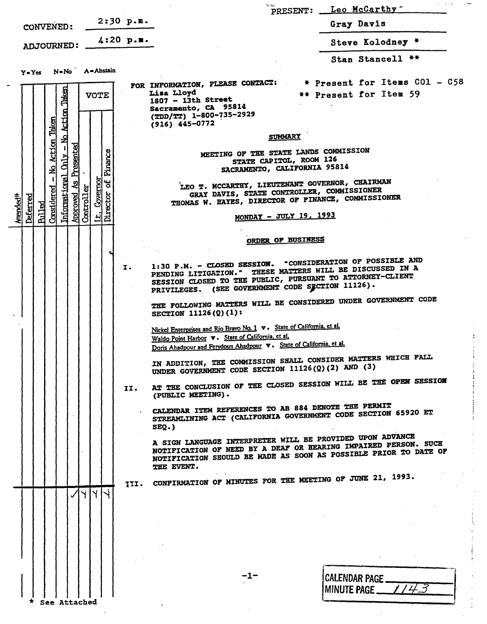|                                                                                                                         |                                                                                                                                                                                                                                          | PRESENT: Leo McCarthy                                                      |
|-------------------------------------------------------------------------------------------------------------------------|------------------------------------------------------------------------------------------------------------------------------------------------------------------------------------------------------------------------------------------|----------------------------------------------------------------------------|
| $2:30$ p.m.<br>CONVENED:                                                                                                |                                                                                                                                                                                                                                          | Gray Davis                                                                 |
| $4:20$ p.m.<br>ADJOURNED:                                                                                               |                                                                                                                                                                                                                                          | Steve Kolodney *                                                           |
| $Y = Yes$ $N = No$ $A = Abstain$                                                                                        |                                                                                                                                                                                                                                          | Stan Stancell **                                                           |
| - No Action Taken<br><b>VOTE</b>                                                                                        | FOR INFORMATION, PLEASE CONTACT: * Present for Items CO1 - C58<br>Lisa Lloyd<br>$1807 - 13th$ Street<br>Sacramento, CA 95814<br>(TDD/TT) 1-800-735-2929<br>$(916)$ 445-0772                                                              | ** Present for Item 59                                                     |
|                                                                                                                         | <b>SUMMARY</b>                                                                                                                                                                                                                           |                                                                            |
| <b>Action Taken</b><br>Presented<br>Finance<br><b>Chily</b><br>의                                                        | MEETING OF THE STATE LANDS COMMISSION<br>STATE CAPITOL, ROOM 126<br>SACRAMENTO, CALIFORNIA 95814                                                                                                                                         |                                                                            |
| Informational<br>Covernor<br>Ъ<br>Considered<br>đ<br>ector<br>Approved<br>Controlle<br>Deferred<br>Amended <sup>*</sup> | LEO T. MCCARTHY, LIEUTENANT GOVERNOR, CHAIRMAN<br>GRAY DAVIS, STATE CONTROLLER, COMMISSIONER<br>THOMAS W. HAYES, DIRECTOR OF FINANCE, COMMISSIONER                                                                                       |                                                                            |
| <b>Pulled</b><br>. 궈뎣                                                                                                   | MONDAY - JULY 19, 1993                                                                                                                                                                                                                   |                                                                            |
|                                                                                                                         | ORDER OF BUSINESS                                                                                                                                                                                                                        |                                                                            |
| I.                                                                                                                      | 1:30 P.M. - CLOSED SESSION. "CONSIDERATION OF POSSIBLE AND<br>PENDING LITIGATION." THESE MATTERS WILL BE DISCUSSED IN A<br>SESSION CLOSED TO THE PUBLIC, PURSUANT TO ATTORNEY-CLIENT<br>PRIVILEGES. (SEE GOVERNMENT CODE SECTION 11126). |                                                                            |
|                                                                                                                         | THE FOLLOWING MATTERS WILL BE CONSIDERED UNDER GOVERNMENT CODE<br>SECTION $11126(2)(1)$ :                                                                                                                                                |                                                                            |
|                                                                                                                         | Nickel Enterprises and Rio Bravo No. 1 v. State of California, et al.<br>Waldo Point Harbor v. State of California, et al.<br>Doris Ahadpour and Ferydoun Ahadpour v. State of California, et al.                                        |                                                                            |
|                                                                                                                         | IN ADDITION, THE COMMISSION SHALL CONSIDER MATTERS WHICH FALL<br>UNDER GOVERNMENT CODE SECTION 11126(Q)(2) AND (3)                                                                                                                       |                                                                            |
|                                                                                                                         | AT THE CONCLUSION OF THE CLOSED SESSION WILL BE THE OPEN SESSION<br>II.<br>(PUBLIC MEETING).                                                                                                                                             |                                                                            |
|                                                                                                                         | CALENDAR ITEM REFERENCES TO AB 884 DENOTE THE PERMIT<br>STREAMLINING ACT (CALIFORNIA GOVERNMENT CODE SECTION 65920 ET<br>$SEQ.$ )                                                                                                        |                                                                            |
|                                                                                                                         | A SIGN LANGUAGE INTERPRETER WILL BE PROVIDED UPON ADVANCE<br>NOTIFICATION OF NEED BY A DEAF OR HEARING IMPAIRED PERSON. SUCH<br>NOTIFICATION SHOULD BE MADE AS SOON AS POSSIBLE PRIOR TO DATE OF<br>THE EVENT.                           |                                                                            |
|                                                                                                                         | III. CONFIRMATION OF MINUTES FOR THE MEETING OF JUNE 21, 1993.                                                                                                                                                                           |                                                                            |
| Y <br>✓                                                                                                                 |                                                                                                                                                                                                                                          |                                                                            |
|                                                                                                                         |                                                                                                                                                                                                                                          |                                                                            |
|                                                                                                                         |                                                                                                                                                                                                                                          |                                                                            |
|                                                                                                                         |                                                                                                                                                                                                                                          |                                                                            |
|                                                                                                                         |                                                                                                                                                                                                                                          |                                                                            |
|                                                                                                                         | -1-                                                                                                                                                                                                                                      | CALENDAR PAGE ___                                                          |
| See Attached                                                                                                            |                                                                                                                                                                                                                                          | MINUTE PAGE $\_\,\,\,\prime$ / $\,\,\neq$ $\,\,\overline{\!\!\mathcal{S}}$ |

 $\ddot{\phantom{0}}$ 

 $\frac{1}{2}$ 

 $\frac{1}{2}$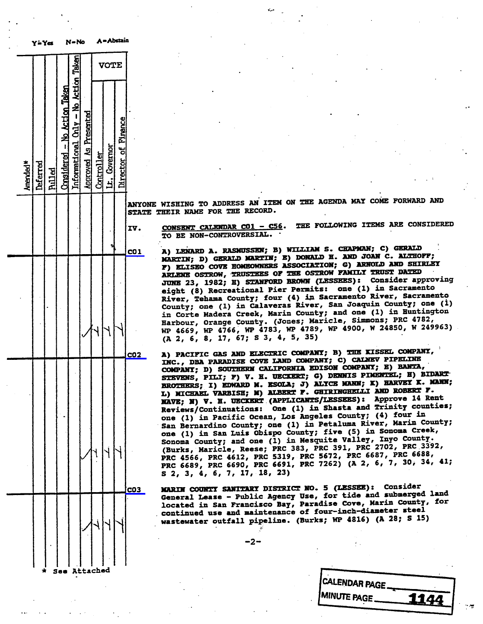

ANYONE WISHING TO ADDRESS AN ITEM ON THE AGENDA MAY COME FORWARD AND STATE THEIR NAME FOR THE RECORD.

IV. CONSENT CALENDAR CO1 - C56. THE FOLLOWING ITEMS ARE CONSIDERED TO BE NON-CONTROVERSIAL.

col A) LENARD A. RASMUSSEN; B) WILLIAM S. CHAPMAN; C. ALTRO MARTIN; D) GERALD MARTIN; E) DORALD H. ARD JOAN C. AL F) ELISEO COVE HOMEOWNERS ASSOCIATION; G) ARNOLD AND DELIGHT ARLENE OSTROW, TRUSTEES OF THE OSTROW FAMILY INDUCTION JUNE 23, 1982; H) STANFORD BROWN (LESSEES): Consider approving<br>eight (8) Recreational Pier Permits: one (1) in Sacramento eight (8) Recreational Pier Permits: one (1) in River, Tehama County; four (4) in Sacramento River, County; one (1) in Calaveras River, San Joaquin County; one (1) in Corte Madera Creek, Marin County; and one (1) in Huntington Harbour, Orange County. (Jones; Maricle, Simmons; PRC 4782, WP 4669, WP 4766, WP 4783, WP 4789, WP 4900, W 24850, W 249963) (A 2, 6, 8, 17, 67; S 3, 4, 5, 35)

CO2 A) PACIFIC GAS AND ELECTRIC COMPANY; B) THE KISSEL COMPANY, INC., DBA PARADISE COVE LAND COMPANY; C) CALNEV PIPELINE COMPANY; D) SOUTHERN CALIFORNIA EDISON COMPANY; E) BANTA, STEVENS, PILI; F) V. H. UECKERT; G) DENNIS PIMENTEL, A) P-BROTHERS; I) EDWARD M. ESOLA; J) ALICE MANN; A HARVEY K. MANI; K. L) MICHAEL VARBISH; M) ALBERT F. GHIRINGHELLI AND ROBERT F.<br>NAVE; N) V. H. UECKERT (APPLICANTS/LESSEES): Approve 14 Rent Reviews/Continuations: One (1) in Shasta and Trinity counties; one (1) in Pacific Ocean, Los Angeles County; (4) four in San Bernardino County; one (1) in Petaluma River, Marin County; one (1) in San Luis Obispo County; five (5) in Sonoma Creek, Sonoma County; and one (1) in Mesquite Valley, Injo.<br>County of County, Incore PRG 202, PRG 201, PRG 2702. (Burks, Maricle, Reese; PRC 383, PRC 391, PRC 2702, PRC 363 PRC 4566, PRC 4612, PRC 5319, PRC 5672, PRC 6687, PRC 6688, PRC 6689, PRC 6690, PRC 6691, PRC 7262) (A 2, 6, 7, 30, 34, 41; S 2, 3, 4, 6, 7, 17, 18, 23)

co3 MARIN COUNTY SANITARY DISTRICT NO. 5 (LESSEE): COUSSE General Lease - Public Agency Use, for tide and submerged land in the submerged land in the submerged land in the submerged land in the submerged land in the submerged land in the submerged land in the submerged land in th located in San Francisco Bay, Paradise Cove, Marin County, for continued use and maintenance of four-inch-diameter steel wastewater outfall pipeline. (Burks; WP 4816) (A 28; S 15)

-2-

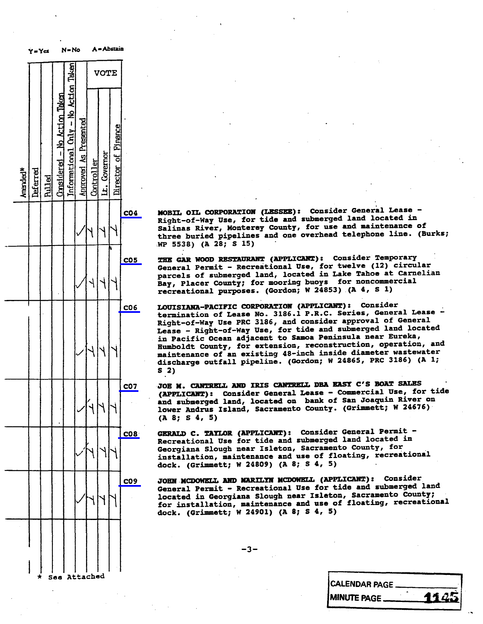

C04 MOBIL OIL CORPORATION (LESSEE): Consider General Lease -<br>Right-of-Way Use, for tide and submerged land located in Salinas River, Monterey County, for use and maintenance of Salinas River, Monterey County, for use and manthree buried pipelines and one overhead telephone line.<br>Ennes buried pipelines and one overhead telephone line. WP 5538) (A 28; S 15)

C05 THE GAR WOOD RESTAURANT (APPLICANT): Consider Temporary<br>General Permit - Recreational Use, for twelve (12) circular parcels of submerged land, located in Lake Tahoe at Carnelian Bay, Placer County; for mooring buoys for noncommercial Bay, Placer County; for mooting buoys for noncommercial recreational purposes. (Gordon; W 24855) (A

CO6 LOUISIANA-PACIFIC CORPORATION (APPLICANT): Consider<br>termination of Lease No. 3186.1 P.R.C. Series, General Lease -Right-of-Way Use PRC 3186, and consider approval of General Lease - Right-of-Way Use, for tide and submerged land located in Pacific Ocean adjacent to Samoa Peninsula near Eureka, Humboldt County, for extension, reconstruction, operation, and maintenance of an existing 48-inch inside diameter wastewater maintenance of an existing 48-inch inside diameter discharge outfall pipeline. (Gordon; W 24865) ind 31 \$ 2)

CO7 JOE N. CANTRELL AND IRIS CANTRELL DBA EASY C'S BOAT SALES<br>(APPLICANT): Consider General Lease - Commercial Use, for tide and submerged land, located on bank of San Joaquin River on and submerged land, located on bank of San Joaquin lower Andrus Island, Sacramento County. (Grimmett, W 24676) (A 8; S 4, 5)

CO8 GERALD C. TAYLOR (APPLICANT): Consider General Permit -<br>Recreational Use for tide and submerged land located in Georgiana Slough near Isleton, Sacramento County, for Georgiana Slough near Isleton, Sacramento County installation, maintenance and use of floating, rec.<br>dook (Crimmett: W 24809) (1 8: S 4. 5) dock. (Grimmett; W 24809) (A 8; S 4, 5)

C09 JOHN MCDOWELL AND MARILYN MCDOWELL (APPLICANT) : Consider located in Georgiana Slough near Isleton, Sacramento County; located in Georgiana Slough near Isleton, Sacramento for installation, maintenance and use of floating, rec dock. (Grimmett; W 24901) (A 8; 5 4, 5)

| <b>CALENDAR PAGE.</b> |      |
|-----------------------|------|
| <b>IMINUTE PAGE.</b>  | 1145 |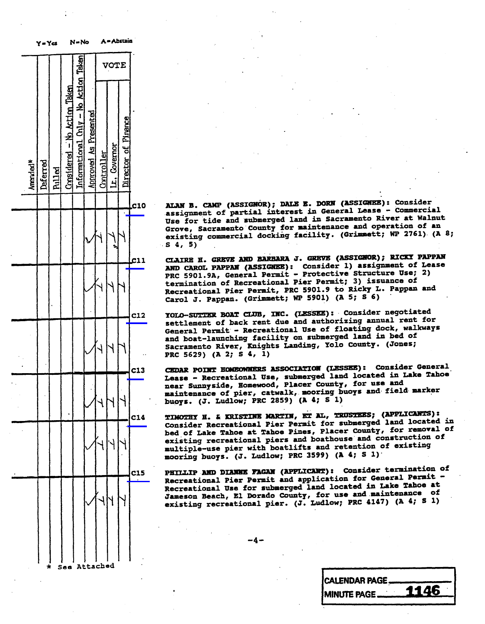|          | Y=Ya     |               |                              | N = No                                 |                              |            |              | A - Abruin          |            |                                                           |               |
|----------|----------|---------------|------------------------------|----------------------------------------|------------------------------|------------|--------------|---------------------|------------|-----------------------------------------------------------|---------------|
|          |          |               |                              |                                        |                              |            | <b>VOTE</b>  |                     |            |                                                           |               |
| Amended* | Deferred | <b>Pulled</b> | Considered - No Action Taken | Informational $Only - No$ Action Taken | <b>Approved As Presented</b> | Controller | Lt. Covernor | Director of Pinance |            |                                                           |               |
|          |          |               |                              |                                        |                              |            |              |                     | C10        | ALAN B.<br>assignme                                       |               |
|          |          |               |                              |                                        |                              |            |              |                     |            | Use for<br>Grove, S<br>existing<br>S<br>4, 5)             |               |
|          |          |               |                              |                                        |                              |            |              |                     | c11        | CLAIRE<br>AND CARO                                        | E             |
|          |          |               |                              |                                        |                              |            |              |                     |            | <b>PRC 5901</b><br>terminat<br>Recreati<br>Carol J.       |               |
|          |          |               |                              |                                        |                              |            |              |                     | <b>C12</b> | YOLO-SUT<br>settleme:                                     |               |
|          |          |               |                              |                                        |                              |            |              |                     |            | General<br>and boat<br><b>Sacramen</b><br><b>PRC 5629</b> |               |
|          |          |               |                              |                                        |                              |            |              |                     | C13        | <b>CEDAR PO</b><br>Lease                                  |               |
|          |          |               |                              |                                        |                              |            |              |                     |            | near Sun<br>maintena:<br>buoys.                           | $\mathcal{L}$ |
|          |          |               |                              |                                        |                              |            |              |                     | C14        | <b>TIMOTHY</b><br>Consider                                |               |
|          |          |               |                              |                                        |                              |            |              |                     |            | bed of L<br>existing<br>multiple<br>mooring 1             |               |
|          |          |               |                              |                                        |                              |            |              |                     | <b>C15</b> | <b>PHILLIP</b><br><b>Recreation</b>                       |               |
|          |          |               |                              |                                        |                              |            |              |                     |            | <b>Recreati</b><br>Jameson 1<br>existing                  |               |
|          |          |               |                              |                                        |                              |            |              |                     |            |                                                           |               |
|          |          |               |                              |                                        |                              |            |              |                     |            |                                                           |               |
|          | $\star$  |               | Saa                          |                                        |                              | Attached   |              |                     |            |                                                           |               |

ALAN B. CAMP (ASSIGNOR); DALE E. DORN (ASSIGNEE): Consider<br>assignment of partial interest in General Lease - Commercial Use for tide and submerged land in Sacramento River at Walnut Grove, Sacramento County for maintenance and operation of an Grove, Sacramento Conting facility. (Grimmet existing commercial docking facility. (Grimmettic  $\mathcal{L}$ 

S 4, 5)<br>CLAIRE H. GREVE AND BARBARA J. GREVE (ASSIGNOR); RICKY PAPPAN AND CAROL PAPPAN (ASSIGNEE): Consider 1) assignment of Lease PRC 5901.9A, General Permit - Protective Structure Use; 2) termination of Recreational Pier Permit; 3) issuance of Recreational Pier Permit, PRC 5901.9 to Ricky L. Pappan and Recreational Pier Permit, PRC 5901.9 to Ricky L. Pappan and  $\frac{1}{2}$  Carol J. Pappan. (J. Pappan. 1980) (MP 5901)

YOLO-SUTTER BOAT CLUB, INC. (LESSEE): Consider negotiated settlement of back rent due and authorizing annual rent for General Permit - Recreational Use of floating dock, walkways and boat-launching facility on submerged land in bed of sacramento River, Knights Landing, Yolo County  $S$ acramento River, Knights Landing, Young

PRC 5629) (A 2; S 4, 1)<br>CEDAR POINT HOMEOMMERS ASSOCIATION (LESSEE): Consider General Lease - Recreational Use, submerged land located in Lake Tahoe near Sunnyside, Homewood, Placer County, for use and maintenance of pier, catwalk, mooring buoys and field marker buoys. (J. Ludlow; PRC 2859) (A  $4$ ; S 1)

TIMOTHY H. & KRISTINE MARTIN, ET AL, TRUSTEES; (APPLICANTS): Consider Recreational Pier Permit for submerged land located in bed of Lake Tahoe at Tahoe Pines, Placer County, for removal of existing recreational piers and boathouse and construction of multiple-use pier with boatlifts and retention of existing  $maximize$  and  $sum = 1$  . The pier with  $PRC$  3599) (1)  $\frac{1}{2}$  buoys. (J. Ludwig 3599) (A  $\frac{1}{2}$ 

PHILLIP AND DIANNE FAGAN (APPLICANT): Consider termination of Recreational Pier Permit and application for General Permit -Recreational Use for submerged land located in Lake Tahoe at Jameson Beach, El Dorado County, for use and maintenance of existing recreational pier.  $(J. \text{ Ludlow}; \text{ PRC } 4147)$  (A existing recreational pier. (J.  $\sim$   $\sim$ 

CALENDAR PAGE

MINUTE PAGE. 1146

 $\overline{+}$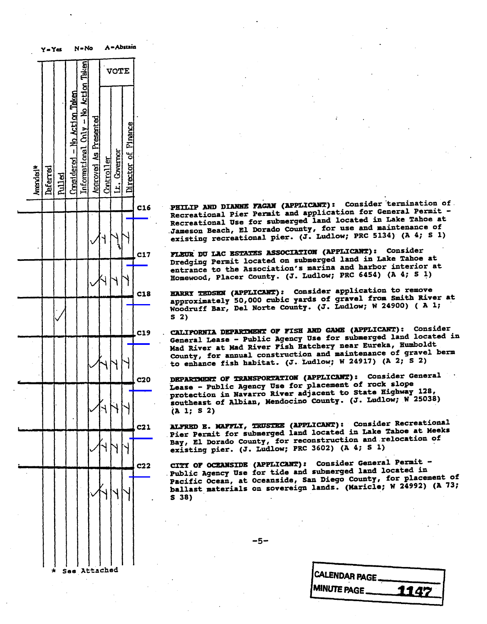|                      | Y=Y≃     |        |                              | N = No                               |                       |            |              |                     |            |  |
|----------------------|----------|--------|------------------------------|--------------------------------------|-----------------------|------------|--------------|---------------------|------------|--|
|                      |          |        |                              |                                      |                       |            | VOTE         |                     |            |  |
| Amended <sup>*</sup> | Deferred | Rulled | Considered - No Action Taken | Informational Chly - No Action Taken | Approved As Presented | Controller | Lt. Covernor | Director of Pinance | C16        |  |
|                      |          |        |                              |                                      |                       |            |              |                     |            |  |
|                      |          |        |                              |                                      |                       |            |              |                     | <b>C17</b> |  |
|                      |          |        |                              |                                      |                       | J          |              |                     | C18        |  |
|                      |          |        |                              |                                      |                       |            |              |                     | 19         |  |
|                      |          |        |                              |                                      |                       |            |              |                     | c20        |  |
|                      |          |        |                              |                                      |                       |            |              |                     | C21        |  |
|                      |          |        |                              |                                      |                       |            |              |                     |            |  |
|                      |          |        |                              |                                      |                       |            |              |                     |            |  |
|                      |          |        |                              |                                      |                       |            |              |                     |            |  |
|                      |          |        | Saa                          | л                                    |                       | ttached    |              |                     |            |  |

PHILIP AND DIANNE FAGAN (APPLICANT): Consider termination of Recreational Pier Permit and application for General Permit -Recreational Use for submerged land located in Lake Tahoe at Recreational Use for the submerged in Landsmanning in Landsmanning in Landsmanning in Landsmanning in Lake Indiana existing recreational pier. (J. Ludlow; PRC 5134) (A 4; S 1)

FLEUR DU LAC ESTATES ASSOCIATION (APPLICANT): Consider Dredging Permit located on submerged land in Lake Tahoe at entrance to the Association's marina and harbor interior at Homewood, Placer County. (J. Ludlow; PRC 6454) (A 4; S 1)

HARRY TEDSEN (APPLICANT): Consider application to remove approximately 50,000 cubic yards of gravel from Smith River at Woodruff Bar, Del Norte County. (J. Ludlow;  $S<sub>2</sub>$ )

S 2)<br>. CALIFORNIA DEPARTMENT OF FISH AND GAME (APPLICANT): Consider General Lease - Public Agency Use for submerged land located in Mad River at Mad River Fish Batchery near Eureka, Humboldt County, for annual construction and maintenance of gravel berm to enhance fish habitat. (J. Ludlow; W 24917) (A 2; S 2)

DEPARTMENT OF TRANSPORTATION (APPLICANT): Consider General Lease - Public Agency Use for placement of rock slope protection in Navarro River adjacent to State Highway 128, southeast of Albian, Mendocino County. (J. Ludlow;  $N$  25038)  $(A 1; S 2)$ 

ALFRED E. MAFFLI, TRUSTEE (APPLICANT): Consider Recreational Pier Permit for submerged land located in Lake Tahoe at Meeks Bay, El Dorado County, for reconstruction and relocation of existing pier. (J. Ludlow; PRC 3602) (A 4; S 1)

CITI OF OCEANSIDE (APPLICANT): Consider General Permit -Public Agency Use for tide and submerged land located in Pacific Ocean, at Oceanside, San Diego County, for placement of ballast materials on sovereign lands. (Maricle; W 249  $\mathbf{s}$  38)  $\sim$  38)

 $-5-$ 

CALENDAR PAGE MINUTE PAGE  $\qquad \qquad$  114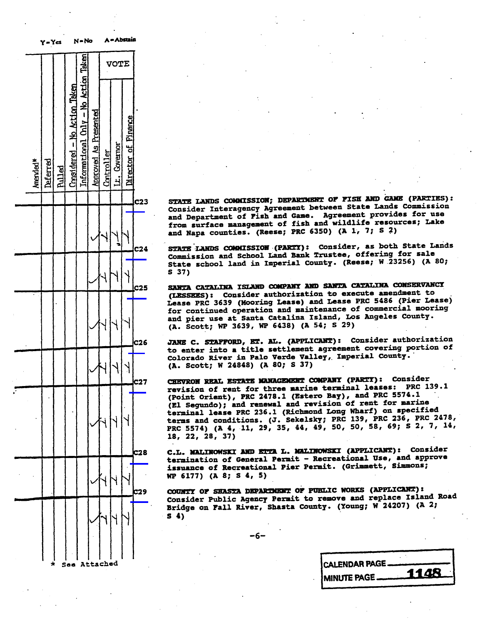| <b>A = Abstant</b>                                                         |              |            |                       | N-No                                 | Y-Ya                         |               |          |                      |  |
|----------------------------------------------------------------------------|--------------|------------|-----------------------|--------------------------------------|------------------------------|---------------|----------|----------------------|--|
| <b>VOTE</b>                                                                |              |            |                       |                                      |                              |               |          |                      |  |
| Director of Pinance                                                        | Lt. Governor | Controller | Approved As Presented | Informational Chly - No Action Taken | Considered - No Action Taken | <b>Pulled</b> | Deferred | Amended <sup>*</sup> |  |
| C23<br>STATE LA<br>Consider<br>and Depa                                    |              |            |                       |                                      |                              |               |          |                      |  |
| from sur<br>and Napa<br>ļ                                                  |              |            |                       |                                      |                              |               |          |                      |  |
| <b>STATE LA</b><br>C <sub>24</sub><br>Commissi<br><b>State</b><br>SC       |              |            |                       |                                      |                              |               |          |                      |  |
| S <sub>37</sub><br>c25<br>SANTA CA                                         |              |            |                       |                                      |                              |               |          |                      |  |
| (LESSEES<br>Lease PR<br>for cont<br>and<br>pier<br>(A.<br>Scot             |              |            |                       |                                      |                              |               |          |                      |  |
| C <sub>26</sub><br>JANE C.<br>to enter<br>Colorado<br>(A.<br>Scot          |              |            |                       |                                      |                              |               |          |                      |  |
| C27<br><b>CHEVRON</b><br>revision                                          |              |            |                       |                                      |                              |               |          |                      |  |
| (Point O<br>(El Segu<br>terminal<br>terms an<br><b>PRC 5574</b><br>18, 22, |              |            |                       |                                      |                              |               |          |                      |  |
| <b>C28</b><br>C.L. MAL<br>terminat<br>issuance                             |              |            |                       |                                      |                              |               |          |                      |  |
| WP 6177)<br><b>C29</b><br>COUNTY O                                         |              |            |                       |                                      |                              |               |          |                      |  |
| Consider<br><b>Bridge of</b><br>54)                                        |              |            |                       |                                      |                              |               |          |                      |  |
|                                                                            |              |            | Attached              |                                      |                              |               |          |                      |  |

Consider Interagency Agreement between State Lands Commission and Department of Fish and Game. Agreement provides for use from surface management of fish and wildlife resources; Lake and Napa counties. (Reese; PRC 6350) (A 1, 7; S 2)

STATE LANDS COMMISSION (PARTI): Consider, as both State Lands Commission and School Land Bank Trustee, offering for sale State school land in Imperial County. (Reese; W 23256) (A 80;  $\sim$  37)

S 37)<br>SANTA CATALINA ISLAND COMPANY AND SANTA CATALINA CONSERVANCY (LESSEES): Consider authorization to execute amendment to Lease PRC 3639 (Mooring Lease) and Lease PRC 5486 (Pier Lease) for continued operation and maintenance of commercial mooring and pier use at Santa Catalina Island, Los Angeles County. (A. Scott; WP 3639, WP 6438) (A 54; S 29)

JANE C. STAFFORD, ET. AL. (APPLICANT): Consider authorization to enter into a title settlement agreement covering portion of Colorado River in Palo Verde Valley, Imperial County.  $(A.$  Scott; W 24848)  $(A.80; S.37)$  $\sqrt{248.234848}$  (Max  $\sqrt{248.2348}$ 

CHEVRON REAL ESTATE MANAGEMENT COMPANY (PARTY): Consider<br>revision of rent for three marine terminal leases: PRC 139.1 (Point Orient), PRC 2478.1 (Estero Bay), and PRC 5574.1 (El Segundo); and renewal and revision of rent for marine terminal lease PRC 236.1 (Richmond Long Wharf) on specified terms and conditions. (J. Sekelsky; PRC 139, PRC 23 PRC 5574) (A 4, 11, 29, 35, 44, 49, 50, 50, 58, 69; S 2  $\overline{18, 22, 28, 37}$ 

18, 22, 28, 37)<br>C.L. MALINOWSKI AND ETTA L. MALINOWSKI (APPLICANT): Consider termination of General Permit - Recreational Use, and approve issuance of Recreational Pier Permit. (Grimmett, Simmons;  $WP$  6177) (A 8; S 4, 5)  $W^*$  (as  $(4.777)$ ) ( $W^*$   $=$   $V^*$ )

COUNTY OF SHASTA DEPARTMENT OF PUBLIC WORKS (APPLICANT):<br>Consider Public Agency Permit to remove and replace Island Road Bridge on Fall River, Shasta County. (Young; W 24207) (A 2  $\mathbf{s}$   $\mathbf{a}$ ) S 4)

\* Sea Attached CALENDAR PAGE. MINUTE PAGE \_\_\_\_\_\_**1148**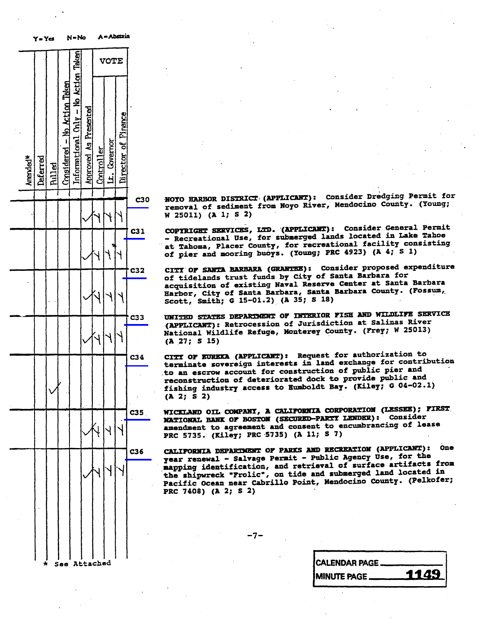|                      | Y=Ya         |               |                              | $N - No$                             |                       |            |              | A = Abstzin         |                 |     |                                                                                   |
|----------------------|--------------|---------------|------------------------------|--------------------------------------|-----------------------|------------|--------------|---------------------|-----------------|-----|-----------------------------------------------------------------------------------|
|                      |              |               |                              |                                      |                       |            | <b>VOTE</b>  |                     |                 |     |                                                                                   |
| Amended <sup>*</sup> | Deferred     | <b>Rulled</b> | Considered - No Action Taken | Informational Chly - No Action Taken | Approved As Presented | Controller | Lt. Covernor | Director of Pinance |                 |     |                                                                                   |
|                      |              |               |                              |                                      |                       |            | ۲            |                     |                 | C30 | <b>NOYO HARI</b><br>removal o<br>W 25011)                                         |
|                      |              |               |                              |                                      |                       |            |              |                     | C31             |     | <b>COPYRIGHT</b><br>Recreat<br>Tahoma<br>at<br>of pier<br>- 1                     |
|                      |              |               |                              |                                      |                       |            |              |                     | C32             |     | CITY OF !<br>of tidela<br>acquisiti<br>Harbor,<br>$\cdot$<br>Scott,<br>SI         |
|                      |              |               |                              |                                      |                       |            |              |                     | C <sub>33</sub> |     | <b>UNITED ST</b><br>(APPLICA)<br>National<br>(A 27;<br>s                          |
|                      |              |               |                              |                                      |                       |            |              |                     | C <sub>34</sub> |     | CITY OF B<br>terminate<br>to an eso<br>reconstru<br>fishing i<br>(A 2; S 2)       |
|                      |              |               |                              |                                      |                       |            |              |                     | C35             |     | WICKLAND<br><b>NATIONAL</b><br>amendment<br>PRC 5735.                             |
|                      |              |               |                              |                                      |                       |            |              |                     | C36             |     | <b>CALIFORNI</b><br>year rene<br>mapping i<br>the shipw<br>Pacific O<br>PRC 7408) |
|                      | $\pmb{\ast}$ |               | See Attached                 |                                      |                       |            |              |                     |                 |     |                                                                                   |

C30 NOTO HARBOR DISINED. (INTERNATION POWER Mendocino County. (Y removal of sediment from Noyo River, Mendochino County.

W 25011) (A 1; S 2)<br>COPYRIGHT SERVICES, LTD. (APPLICANT): Consider General Permit - Recreational Use, for submerged lands located in Lake Tahoe at Tahoma, Placer County, for recreational facility consisting at Ianoma, Placer County, for recreation or hier and mooring buoys. ( $\sim$ ----),  $\sim$ 

CITY OF SANTA BARBARA (GRANTEE): Consider proposed expenditure<br>of tidelands trust funds by City of Santa Barbara for acquisition of existing Naval Reserve Center at Santa Barbara acquisition of existing Navel Never Center  $H_{\text{H}}$  and  $H_{\text{H}}$  of Santa Barbara, Santa Barbara County.

Scott, Smith; G 15-01.2) (A 35; S 18)<br>UNITED STATES DEPARTMENT OF INTERIOR FISE AND WILDLIFE SERVICE (APPLICANT): Retrocession of Jurisdiction at Salinas River (APPLICANT): Retrocession of Jurisdiction<br>National Wildlife Refuge, Monterey County. (Frey; National Wildlife Refuge, Monterey County. (Press,  $\frac{1}{2}$ (A 27; S 15)

CITY OF EUREKA (APPLICANT): Request for authorization to<br>terminate sovereign interests in land exchange for contribution to an escrow account for construction of public pier and reconstruction of deteriorated dock to provide public and reconstruction of deteriorated dock to public and fishing industry access to Humboldt Bay. (Kiley;  $\frac{1}{2}$ .

(A 2; S 2)<br>WICKLAND OIL COMPANY, A CALIFORNIA CORPORATION (LESSEE); FIRST NATIONAL BANK OF BOSTON (SECURED-PARTY LENDER): Consider amendment to agreement and consent to encumbrancing of lease amendment to agreement and consent PRC 5735. (Aliey, PRC 5735) ( $\mu$  =

CALIFORNIA DEPARTMENT OF PARKS AND RECREATION (APPLICANT): One<br>year renewal - Salvage Permit - Public Agency Use, for the mapping identification, and retrieval of surface artifacts from the shipwreck "Frolic", on tide and submerged land located in the shipwreck "floric", on tide and submerged dank in Pacific Ocean near Cabrillo Point, Mendocino County. (Pelkofer; et al. 2: 5 2) PRC 7408) (A 2; S 2)

-7-

| see Attached |  | CALENDAR PAGE       |      |
|--------------|--|---------------------|------|
|              |  | <b>IMINUTE PAGE</b> | 1149 |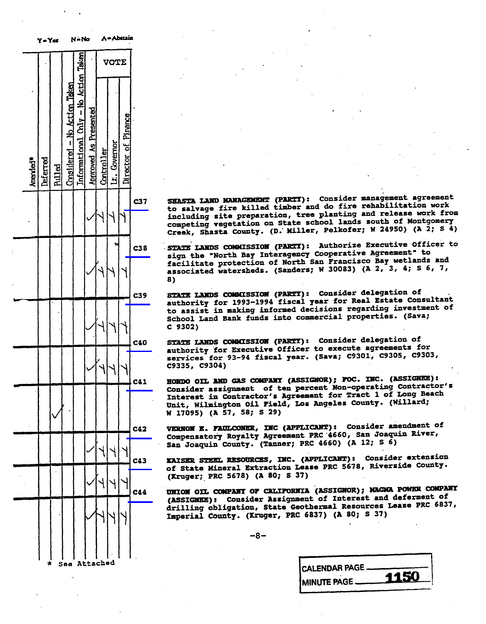$Y \rightarrow Y \rightarrow W$ **Taken** VOTE ktim Action Taken  $\hat{\mathbf{z}}$  $\mathbf{I}$ 3 Pinance È Present £ ้เ Governor ଥି  $A = 1$ See Attached

C37 SHASTA LAND MANAGEMENT (PARTY) : Consider management agreement including site preparation, tree planting and release work from competing vegetation on State school lands south of Montgomery competing vegetation on State State State State State State State State State State State State State State St  $C$ reek, Shasta County,  $C$ . Miller, Pelkofer; W 24950)

C38 STATE LANDS COMMISSION (PARTI): Authorize Executive Officer to<br>sign the "North Bay Interagency Cooperative Agreement" to facilitate protection of North San Francisco Bay wetlands and racilitate protection of  $S$ anders; W 30083) (A 2, associated watersheds. (Sanders; W  $30$ 

C39 STATE LANDS COMMISSION (PARTY): Consider delegation of<br>authority for 1993-1994 fiscal year for Real Estate Consultant to assist in making informed decisions regarding investment of to assist in making informed accuracy and the component of the school land Bank funds into commercial properties.  $\frac{1}{\sqrt{2}}$  (Sava)

C 9302)<br>STATE LANDS COMMISSION (PARTI): Consider delegation of c40 STATE LANDS COMMISSION (PARTY) : Consider delegation of authority for executive chances. (Sava; C93)  $s = 9335, 99304$ 

C9335, C9304)<br>HONDO OIL AND GAS COMPANY (ASSIGNOR); FOC. INC. (ASSIGNEE): C41 HONDO OIL AND GAS COMPANY (ASSIGNOR); FOC. INC. (ASSIGNOR):<br>Consider assignment of ten percent Non-operating Contractor's Interest in Contractor's Agreement for Tract 1 of Long Beach Unit, Wilmington Oil Field, Los Angeles County. (Willard;  $W = 17095$ ,  $(A = 57, 58; S = 29)$  $M = 10, 55$ ;  $M = 57$ ; so,

C42 VERNON E. FAULCONER, INC (APPLICANT): Consider amendment of<br>Compensatory Royalty Agreement PRC 4660, San Joaquin River, San Joaquin County. (Tanner; PRC 4660)  $(A 12; S 6)$ San Joaquin County. (Tanner; PRC 4660) (A 12; S 6)

C43 KAISER STEEL RESOURCES, INC. (APPLICANT): Consider extension<br>of State Mineral Extraction Lease PRC 5678, Riverside County.  $(8r \cdot 1)$  State Mineral Extraction Lease  $\overline{R}$  $(m\log n)$  and  $(m+1)$   $(n+1)$ 

C44 UNION OIL COMPANY OF CALIFORNIA (ASSIGNOR); MAGNA POWER COMPANY (ASSIGNER): Consider Assignment of Interest and deferment of drilling obligation, State Geothermal Resources Lease PRC 6837, drilling obligation, State Geotherman (80; S 37)  $I$ <sup>m</sup>perial county. (Helper, PRC 6837) ( $\frac{1}{2}$ 

| <b>CALENDAR PAGE.</b> | 1150 |
|-----------------------|------|
| <b>IMINUTE PAGE _</b> |      |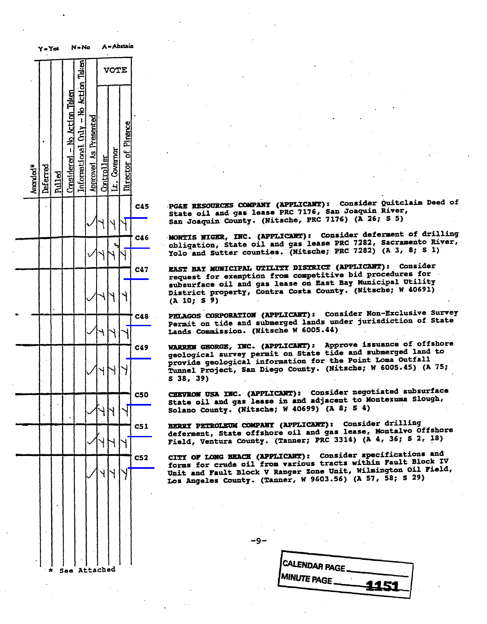|                      | Y=Ya     |        |                              | N = No                               |                       |            |              | A = ADGRIB          |            |                                                                                             |
|----------------------|----------|--------|------------------------------|--------------------------------------|-----------------------|------------|--------------|---------------------|------------|---------------------------------------------------------------------------------------------|
|                      |          |        |                              |                                      |                       |            | <b>VOTE</b>  |                     |            |                                                                                             |
| Amended <sup>*</sup> | Deferred | hilled | Considered - No Action Taken | Informational Chiv - No Action Taken | Approved As Presented | Controller | Lt. Covernor | Director of Pinance |            |                                                                                             |
|                      |          |        |                              |                                      |                       |            |              |                     | C45        | <b>PG&amp;E RE</b><br>State<br><b>C</b><br>San Jos                                          |
|                      |          |        |                              |                                      |                       |            |              |                     | C46        | MONTIS<br>obligat<br>Yolo<br>ar                                                             |
|                      |          |        |                              |                                      |                       |            |              |                     | C47        | <b>EAST BE</b><br>request<br>subsurf<br>Distric<br>(A <sup>T</sup> 10;                      |
|                      |          |        |                              |                                      |                       |            |              |                     | C48        | <b>PELAGOS</b><br>Permit<br>Lands<br>c                                                      |
|                      |          |        |                              |                                      |                       |            |              |                     | C49        | <b>WARREN</b><br>geologi<br>provide<br>Tunnel<br>S <sub>38</sub><br>$\overline{\mathbf{3}}$ |
|                      |          |        |                              |                                      |                       |            |              |                     |            | ٠.<br>State o<br>Solano                                                                     |
|                      |          |        |                              |                                      |                       |            |              |                     | C51        | <b>BERRY P</b><br>deferme<br>Field,                                                         |
|                      |          |        |                              |                                      |                       |            |              |                     | <b>C52</b> | <b>CITY OF</b><br>forms f<br>Unit an<br>Los Ang                                             |
|                      |          |        |                              |                                      |                       |            |              |                     |            |                                                                                             |
|                      |          |        |                              |                                      |                       |            |              |                     |            |                                                                                             |
|                      |          |        |                              |                                      |                       | ·h ed      |              |                     |            |                                                                                             |

See Attached

| $\int$ C45 | PG&E RESOURCES COMPANY (APPLICART): CONSIGET QUITCIAIM Deed Of |  |
|------------|----------------------------------------------------------------|--|
|            | State oil and gas lease PRC 7176, San Joaquin River,           |  |
|            |                                                                |  |
|            | San Joaquin County. (Nitsche, PRC 7176) (A 26; S 5)            |  |

MONTIS NIGER, INC. (APPLICANT): Consider deferment of drilling obligation, State oil and gas lease PRC 7282, Sacramento River, Yolo and Sutter counties. (Nitsche; PRC 7282) (A 3, 8; S 1)

EAST BAY MUNICIPAL UTILITY DISTRICT (APPLICANT): Consider request for exemption from competitive bid procedures for subsurface oil and gas lease on East Bay Municipal Utility District property, Contra Costa County. (Nit  $(A\ 10; S\ 9)$ 

(A 10; S 9)<br>PELAGOS CORPORATION (APPLICANT): Consider Non-Exclusive Survey Permit on tide and submerged lands under jurisdiction of State Lands Commission. (Nitsche W 6005.44)

WARREN GEORGE, INC. (APPLICANT): Approve issuance of offshore geological survey permit on State tide and submerged land to provide geological information for the Point Loma Outfall Tunnel Project, San Diego County. (Nitsche; W 6005.45) (A 75;  $S<sub>38</sub>, 39$  $\sim$  38, 39

costate cil and gas lease in and adjacent to Montezuma Slow Solano County. (Nitsche; W 40699) (A 8; S 4) Solano County. (Nitsche; W 406999) (A 5; 5 4)

BERRY PETROLEUM COMPANY (APPLICANT): Consider drilling<br>deferment, State offshore oil and gas lease, Montalvo Offshore Field, Ventura County. (Tanner; PRC 3314) (A 4, 36; S 2, 18)

CITY OF LONG BEACH (APPLICANT): Consider specifications and forms for crude oil from various tracts within Fault Block IV Unit and Fault Block V Ranger Zone Unit, Wilmington Oil Field, Los Angeles County. (Tanner, W 9603.56) (A 57, 58; Los Angeles County. (Tanner, W 9603.56) (A 57, 58; s 29)

-9-

| CALENDAR PAGE.      |      |
|---------------------|------|
|                     |      |
| <b>IMINUTE PAGE</b> | 1451 |
|                     |      |